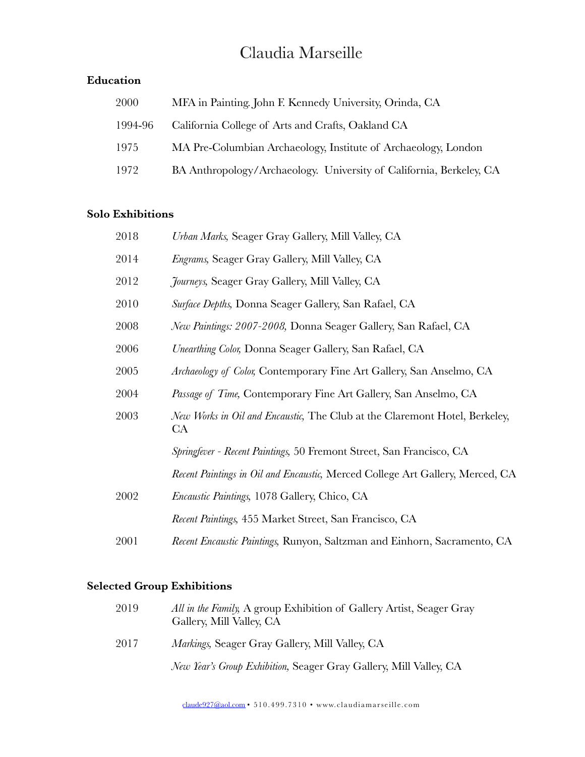# [Claudia Marseille](http://www.claudiamarseille.com/cm/)

#### **Education**

| 2000    | MFA in Painting. John F. Kennedy University, Orinda, CA             |
|---------|---------------------------------------------------------------------|
| 1994-96 | California College of Arts and Crafts, Oakland CA                   |
| 1975    | MA Pre-Columbian Archaeology, Institute of Archaeology, London      |
| 1972    | BA Anthropology/Archaeology. University of California, Berkeley, CA |

#### **Solo Exhibitions**

| 2018 | Urban Marks, Seager Gray Gallery, Mill Valley, CA                                       |
|------|-----------------------------------------------------------------------------------------|
| 2014 | Engrams, Seager Gray Gallery, Mill Valley, CA                                           |
| 2012 | <i>Journeys</i> , Seager Gray Gallery, Mill Valley, CA                                  |
| 2010 | Surface Depths, Donna Seager Gallery, San Rafael, CA                                    |
| 2008 | New Paintings: 2007-2008, Donna Seager Gallery, San Rafael, CA                          |
| 2006 | Unearthing Color, Donna Seager Gallery, San Rafael, CA                                  |
| 2005 | Archaeology of Color, Contemporary Fine Art Gallery, San Anselmo, CA                    |
| 2004 | Passage of Time, Contemporary Fine Art Gallery, San Anselmo, CA                         |
| 2003 | New Works in Oil and Encaustic, The Club at the Claremont Hotel, Berkeley,<br><b>CA</b> |
|      | Springfever - Recent Paintings, 50 Fremont Street, San Francisco, CA                    |
|      | Recent Paintings in Oil and Encaustic, Merced College Art Gallery, Merced, CA           |
| 2002 | <i>Encaustic Paintings</i> , 1078 Gallery, Chico, CA                                    |
|      | Recent Paintings, 455 Market Street, San Francisco, CA                                  |
| 2001 | Recent Encaustic Paintings, Runyon, Saltzman and Einhorn, Sacramento, CA                |

## **Selected Group Exhibitions**

| 2019 | All in the Family, A group Exhibition of Gallery Artist, Seager Gray<br>Gallery, Mill Valley, CA |
|------|--------------------------------------------------------------------------------------------------|
| 2017 | <i>Markings</i> , Seager Gray Gallery, Mill Valley, CA                                           |
|      | New Year's Group Exhibition, Seager Gray Gallery, Mill Valley, CA                                |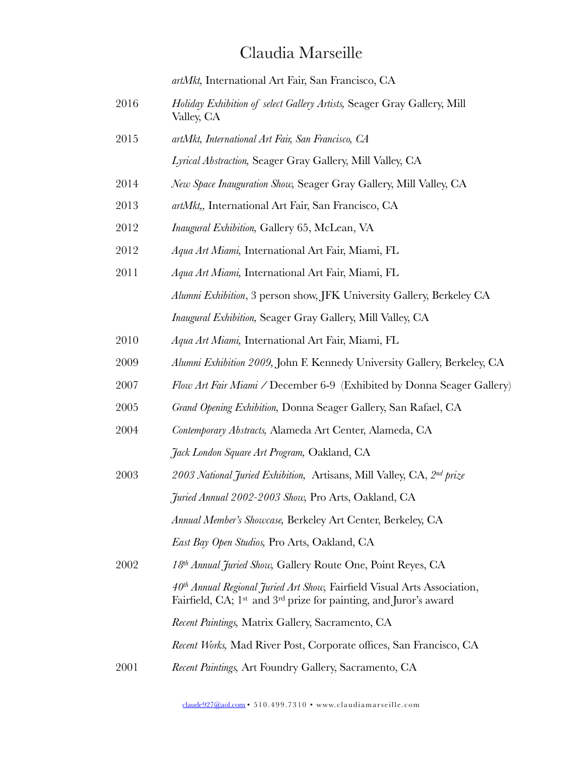### [Claudia Marseille](http://www.claudiamarseille.com/cm/)

*artMkt,* International Art Fair, San Francisco, CA

- 2016 *Holiday Exhibition of select Gallery Artists,* Seager Gray Gallery, Mill Valley, CA
- 2015 *artMkt, International Art Fair, San Francisco, CA Lyrical Abstraction,* Seager Gray Gallery, Mill Valley, CA
- 2014 *New Space Inauguration Show,* Seager Gray Gallery, Mill Valley, CA
- 2013 *artMkt,,* International Art Fair, San Francisco, CA
- 2012 *Inaugural Exhibition,* Gallery 65, McLean, VA
- 2012 *Aqua Art Miami,* International Art Fair, Miami, FL
- 2011 *Aqua Art Miami,* International Art Fair, Miami, FL *Alumni Exhibition*, 3 person show, JFK University Gallery, Berkeley CA *Inaugural Exhibition,* Seager Gray Gallery, Mill Valley, CA
- 2010 *Aqua Art Miami,* International Art Fair, Miami, FL
- 2009 *Alumni Exhibition 2009,* John F. Kennedy University Gallery, Berkeley, CA
- 2007 *Flow Art Fair Miami /* December 6-9 (Exhibited by Donna Seager Gallery)
- 2005 *Grand Opening Exhibition,* Donna Seager Gallery, San Rafael, CA
- 2004 *Contemporary Abstracts,* Alameda Art Center, Alameda, CA *Jack London Square Art Program,* Oakland, CA
- 2003 *2003 National Juried Exhibition,* Artisans, Mill Valley, CA, *2nd prize Juried Annual 2002-2003 Show,* Pro Arts, Oakland, CA *Annual Member's Showcase,* Berkeley Art Center, Berkeley, CA *East Bay Open Studios,* Pro Arts, Oakland, CA
- 2002 *18th Annual Juried Show,* Gallery Route One, Point Reyes, CA *40th Annual Regional Juried Art Show,* Fairfield Visual Arts Association, Fairfield, CA; 1st and 3rd prize for painting, and Juror's award *Recent Paintings,* Matrix Gallery, Sacramento, CA *Recent Works,* Mad River Post, Corporate offices, San Francisco, CA 2001 *Recent Paintings,* Art Foundry Gallery, Sacramento, CA